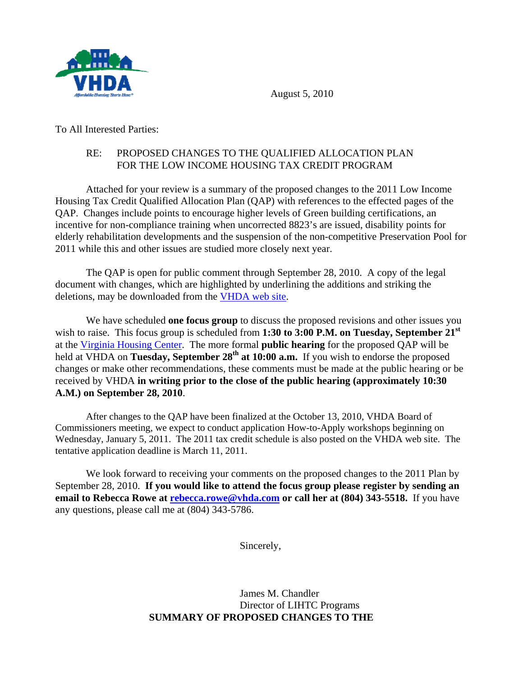

August 5, 2010

To All Interested Parties:

## RE: PROPOSED CHANGES TO THE QUALIFIED ALLOCATION PLAN FOR THE LOW INCOME HOUSING TAX CREDIT PROGRAM

 Attached for your review is a summary of the proposed changes to the 2011 Low Income Housing Tax Credit Qualified Allocation Plan (QAP) with references to the effected pages of the QAP. Changes include points to encourage higher levels of Green building certifications, an incentive for non-compliance training when uncorrected 8823's are issued, disability points for elderly rehabilitation developments and the suspension of the non-competitive Preservation Pool for 2011 while this and other issues are studied more closely next year.

The QAP is open for public comment through September 28, 2010. A copy of the legal document with changes, which are highlighted by underlining the additions and striking the deletions, may be downloaded from the [VHDA web site](http://www.vhda.com/BusinessPartners/MFDevelopers/LIHTCProgram/LowIncome%20Housing%20Tax%20Credit%20Program/2011%20QAP%20Blacklined%20-%20Released%20for%20Public%20Comment.pdf).

 We have scheduled **one focus group** to discuss the proposed revisions and other issues you wish to raise. This focus group is scheduled from **1:30 to 3:00 P.M. on Tuesday, September 21st** at the [Virginia Housing Center](http://www.vhda.com/vhda_com/Template_a.asp?VHDA_COM_PAGE_NAME=DirectionstotheVirginiaHousingCenter). The more formal **public hearing** for the proposed QAP will be held at VHDA on **Tuesday, September 28<sup>th</sup> at 10:00 a.m.** If you wish to endorse the proposed changes or make other recommendations, these comments must be made at the public hearing or be received by VHDA **in writing prior to the close of the public hearing (approximately 10:30 A.M.) on September 28, 2010**.

 After changes to the QAP have been finalized at the October 13, 2010, VHDA Board of Commissioners meeting, we expect to conduct application How-to-Apply workshops beginning on Wednesday, January 5, 2011. The 2011 tax credit schedule is also posted on the VHDA web site. The tentative application deadline is March 11, 2011.

 We look forward to receiving your comments on the proposed changes to the 2011 Plan by September 28, 2010. **If you would like to attend the focus group please register by sending an email to Rebecca Rowe at [rebecca.rowe@vhda.com](mailto:rebecca.rowe@vhda.com) or call her at (804) 343-5518.** If you have any questions, please call me at (804) 343-5786.

Sincerely,

 James M. Chandler Director of LIHTC Programs **SUMMARY OF PROPOSED CHANGES TO THE**